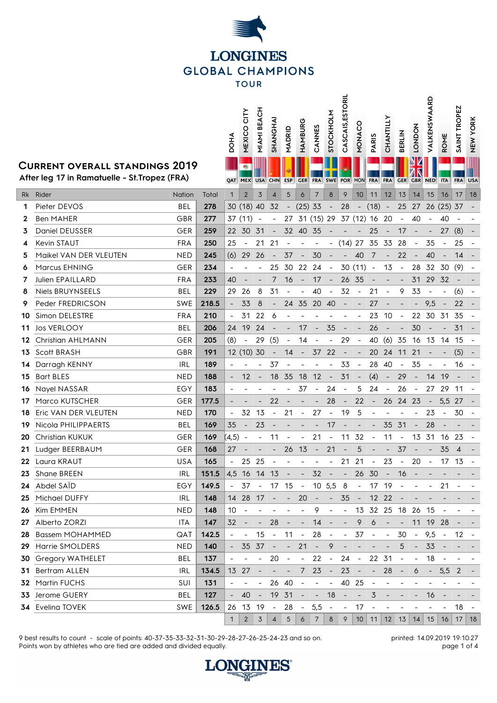

**STOCKHOLM CASCAIS,ESTORIL**

**VALKENSWAARD**

VALKENSWAARD

## **Current overall standings 2019**

|          |                                                                                        |                   |              | <b>DOHA</b>              | CITY<br>NEXICO              | MIAMI BEACH              | SHANGHA                  | MADRID                   | HAMBURG                  | CANNES                                  | STOCKHOLM                | CASCAIS, ESTC                  | NONACO                   | PARIS                    | CHANTILLY                | <b>BERLIN</b>            | <b>LONDON</b>                | VALKENSWAA                     | ROME                         | SAINT TROPEZ   | <b>NEW YORK</b> |
|----------|----------------------------------------------------------------------------------------|-------------------|--------------|--------------------------|-----------------------------|--------------------------|--------------------------|--------------------------|--------------------------|-----------------------------------------|--------------------------|--------------------------------|--------------------------|--------------------------|--------------------------|--------------------------|------------------------------|--------------------------------|------------------------------|----------------|-----------------|
|          | <b>CURRENT OVERALL STANDINGS 2019</b><br>After leg 17 in Ramatuelle - St. Tropez (FRA) |                   |              |                          | $\bullet$<br><b>QAT MEX</b> | <b>USA</b>               | <b>CHN</b>               | <b>ESP</b>               | <b>GER</b>               | <b>FRA</b>                              | <b>SWE</b>               | <b>POR</b>                     | <b>MON</b>               | <b>FRA</b>               | <b>FRA</b>               | <b>GER</b>               | <b>GBR NED</b>               |                                | <b>ITA</b>                   | <b>FRA</b>     | <b>USA</b>      |
| Rk       | Rider                                                                                  | Nation            | Total        | $\mathbf{1}$             | $\overline{2}$              | 3                        | $\overline{4}$           | 5                        | 6                        | $\overline{7}$                          | 8                        | 9                              | 10                       | 11                       | 12                       | 13                       | 14                           | 15                             | 16                           | 17             | 18              |
| 1        | Pieter DEVOS                                                                           | BEL               | 278          |                          | 30 (18) 40                  |                          | 32                       |                          | $(25)$ 33                |                                         | $\overline{\phantom{a}}$ | 28                             |                          | $-$ (18) $-$             |                          | 25                       | 27                           |                                | 26 (25) 37                   |                |                 |
| 2        | Ben MAHER                                                                              | GBR               | 277          |                          | 37 (11)                     |                          |                          | 27                       |                          | 31 (15) 29 37 (12) 16 20                |                          |                                |                          |                          |                          | $\overline{\phantom{a}}$ | 40                           | $\overline{\phantom{a}}$       | 40                           |                |                 |
| 3        | Daniel DEUSSER                                                                         | <b>GER</b>        | 259          |                          | 22 30                       | 31                       | $\overline{\phantom{a}}$ |                          | 32 40                    | - 35                                    |                          |                                |                          | 25                       | $\overline{\phantom{a}}$ | 17                       |                              | $\overline{\phantom{a}}$       | 27                           | (8)            |                 |
|          | Kevin STAUT                                                                            | <b>FRA</b>        | 250          | 25                       |                             | 21                       | 21                       |                          |                          |                                         |                          | $(14)$ 27                      |                          | 35                       | - 33                     | 28                       |                              | 35                             | $\overline{\phantom{a}}$     | 25             |                 |
| 5        | Maikel VAN DER VLEUTEN                                                                 | <b>NED</b>        | 245          | (6)                      | 29                          | 26                       | $\overline{\phantom{a}}$ | 37                       | $\overline{\phantom{a}}$ | 30                                      |                          | $\overline{\phantom{a}}$       | 40                       | 7                        | $\overline{\phantom{a}}$ | 22                       |                              | 40                             | $\overline{\phantom{a}}$     | 14             |                 |
| 6        | Marcus EHNING                                                                          | GER               | 234          |                          |                             |                          | 25                       | 30                       | 22                       | 24                                      | $\sim$ $-$               |                                | $30(11) -$               |                          | 13                       | $\overline{\phantom{a}}$ | 28                           | 32 30                          |                              | (9)            |                 |
| 7        | Julien EPAILLARD                                                                       | <b>FRA</b>        | 233          | 40                       |                             |                          | 7                        | 16                       | $\overline{\phantom{a}}$ | 17                                      | $\sim$ $-$               | 26 35                          |                          |                          |                          | $\qquad \qquad -$        | 31                           | 29                             | 32                           |                |                 |
| 8        | <b>Niels BRUYNSEELS</b>                                                                | <b>BEL</b>        | 229          | 29                       | 26                          | 8                        | 31                       |                          |                          | 40                                      | $\blacksquare$           | 32                             | $\overline{\phantom{a}}$ | 21                       | $\blacksquare$           | 9                        | 33                           | $\overline{\phantom{a}}$       | $\overline{\phantom{m}}$     | (6)            |                 |
| 9        | Peder FREDRICSON                                                                       | <b>SWE</b>        | 218.5        | $\overline{\phantom{a}}$ | 33                          | 8                        |                          |                          | 24 35                    | 20 40                                   |                          | $\overline{\phantom{a}}$       | $\overline{\phantom{a}}$ | 27                       |                          |                          |                              | 9,5                            | $\overline{\phantom{a}}$     | 22             |                 |
| 10       | Simon DELESTRE                                                                         | <b>FRA</b>        | 210          | $\overline{\phantom{a}}$ | 31                          | 22                       | 6                        |                          |                          |                                         |                          |                                |                          | 23                       | 10                       | $\overline{\phantom{a}}$ | 22                           | 30                             | 31                           | 35             |                 |
| 11       | <b>Jos VERLOOY</b>                                                                     | <b>BEL</b>        | 206          | 24                       | 19                          | 24                       |                          |                          | 17                       | $\overline{\phantom{a}}$                | 35                       | $\overline{\phantom{a}}$       |                          | 26                       |                          |                          | 30                           |                                |                              | 31             |                 |
| 12       | Christian AHLMANN                                                                      | GER               | 205          | (8)                      | $\overline{\phantom{a}}$    | 29                       | (5)                      |                          | 14                       |                                         |                          | 29                             | $\overline{\phantom{a}}$ | 40                       | (6)                      | 35                       | 16                           | 13 14                          |                              | 15             |                 |
| 13       | Scott BRASH                                                                            | GBR               | 191          |                          | 12 (10) 30                  |                          |                          | 14                       | $\overline{\phantom{a}}$ | 37                                      | 22                       |                                |                          | 20                       | 24                       | 11                       | 21                           |                                |                              | (5)            |                 |
| 14       | Darragh KENNY                                                                          | <b>IRL</b>        | 189          |                          |                             |                          | 37                       |                          |                          |                                         |                          | 33                             | $\overline{\phantom{a}}$ | 28                       | 40                       | $\overline{\phantom{a}}$ | 35                           |                                |                              | 16             |                 |
| 15       | <b>Bart BLES</b>                                                                       | <b>NED</b>        | 188          |                          | 12                          |                          | 18                       | 35                       | 18                       | 12                                      | $\overline{\phantom{a}}$ | 31                             | $\overline{\phantom{a}}$ | (4)                      | $\overline{\phantom{a}}$ | 29                       |                              | 14                             | 19                           |                |                 |
| 16       | Nayel NASSAR                                                                           | EGY               | 183          | $\overline{\phantom{a}}$ |                             |                          | 22                       |                          | 37                       | $\overline{\phantom{a}}$                | 24                       | $\overline{\phantom{a}}$       | 5                        | 24                       | $\overline{\phantom{a}}$ | 26                       | $\overline{\phantom{a}}$     | 27                             | 29                           | 11             |                 |
| 17<br>18 | Marco KUTSCHER<br>Eric VAN DER VLEUTEN                                                 | GER<br><b>NED</b> | 177.5<br>170 |                          | 32                          | 13                       |                          | 21                       |                          | 27                                      | 28                       | $\overline{\phantom{a}}$<br>19 | 22<br>5                  | $\overline{\phantom{a}}$ | 26                       | 24                       | 23                           | $\overline{\phantom{a}}$<br>23 | 5,5                          | 27<br>30       |                 |
| 19       | Nicola PHILIPPAERTS                                                                    | <b>BEL</b>        | 169          | 35                       | $\qquad \qquad -$           | 23                       | $\qquad \qquad -$        |                          | $\overline{\phantom{a}}$ |                                         | 17                       |                                |                          |                          | 35                       | 31                       |                              | 28                             | $\overline{\phantom{a}}$     |                |                 |
| 20       | Christian KUKUK                                                                        | <b>GER</b>        | 169          | (4,5)                    |                             |                          | 11                       |                          |                          | 21                                      | $\overline{\phantom{a}}$ | 11                             | 32                       | $\overline{\phantom{a}}$ | 11                       | $\overline{\phantom{a}}$ | 13 31                        |                                | 16                           | 23             |                 |
| 21       | Ludger BEERBAUM                                                                        | GER               | 168          | 27                       |                             |                          | $\overline{\phantom{a}}$ | 26                       | 13                       | $\overline{\phantom{a}}$                | 21                       | $\overline{\phantom{a}}$       | 5                        |                          | $\overline{\phantom{a}}$ | 37                       |                              | $\overline{\phantom{a}}$       | 35                           | 4              |                 |
| 22       | Laura KRAUT                                                                            | <b>USA</b>        | 165          | $\overline{\phantom{a}}$ | 25                          | 25                       |                          |                          |                          |                                         |                          | 21                             | 21                       | $\overline{\phantom{a}}$ | 23                       | $\overline{\phantom{a}}$ | 20                           | $\overline{\phantom{a}}$       | 17                           | 13             |                 |
| 23       | Shane BREEN                                                                            | IRL               | 151.5        |                          | 4,5 16 14 13                |                          |                          | $\overline{\phantom{a}}$ | $\sim$                   | 32                                      | $\sim$ $-$               | $\blacksquare$                 | 26 30                    |                          | $\sim$                   | 16                       |                              |                                |                              |                |                 |
| 24.      | Abdel SAÏD                                                                             | EGY               | 149.5        | $\sim$ $-$               |                             |                          |                          |                          |                          | 37 - 17 15 - 10 5,5 8                   |                          |                                |                          | - 17 19                  |                          | $\sim$ $-$               |                              |                                | 21                           |                |                 |
| 25       | Michael DUFFY                                                                          | <b>IRL</b>        | 148          |                          | 14 28 17 -                  |                          |                          | $\sim$ $-$               | 20                       | $\sim$ $ \sim$                          | A)                       | 35                             | $\sim$                   | 12 22                    |                          |                          |                              |                                |                              |                |                 |
| 26       | Kim EMMEN                                                                              | <b>NED</b>        | 148          | 10                       | $\overline{\phantom{a}}$    |                          |                          |                          | $\overline{\phantom{0}}$ | 9                                       | $\overline{\phantom{a}}$ | $\blacksquare$                 |                          |                          |                          |                          | 13 32 25 18 26 15            |                                | $\overline{\phantom{a}}$     |                |                 |
| 27       | Alberto ZORZI                                                                          | ITA               | 147          | 32                       | $\qquad \qquad -$           |                          | 28                       | $\sim$                   | $\overline{\phantom{a}}$ | $\overline{14}$                         | $\sim$ $-$               | $\overline{\phantom{a}}$       | 9                        | 6                        | $\overline{\phantom{a}}$ | $\overline{\phantom{a}}$ |                              | 11 19 28                       |                              |                |                 |
| 28       | <b>Bassem MOHAMMED</b>                                                                 | QAT               | 142.5        | $\sim$                   | $\overline{\phantom{a}}$    | 15                       |                          | - 11                     | $\sim$ $-$               | 28                                      | $\sim$ $-$               | $\sim$                         |                          | 37 -                     | $\sim$                   | 30                       | $\sim$                       | 9,5                            | $\sim$                       | 12             | $\sim$ $-$      |
| 29       | Harrie SMOLDERS                                                                        | NED               | 140          |                          |                             | 35 37                    |                          | $\sim$ $ \sim$ $  \sim$  | 21                       | $\sim$ $-$                              | 9                        |                                |                          |                          | $\overline{\phantom{a}}$ | $\overline{5}$           | $\blacksquare$               | 33                             | $\sim$ $-$                   |                |                 |
| 30       | Gregory WATHELET                                                                       | <b>BEL</b>        | 137          | $\overline{\phantom{a}}$ |                             | $\overline{\phantom{a}}$ | 20                       | $\sim$                   | $\sim$                   | 22                                      | $\sim$                   | 24                             | $\sim$ $-$               | 22 31                    |                          | $\overline{\phantom{a}}$ | $\overline{\phantom{a}}$     | 18                             |                              |                |                 |
| 31       | Bertram ALLEN                                                                          | IRL               | 134.5        |                          | 13 27                       | $\overline{\phantom{a}}$ | $\overline{\phantom{a}}$ | $\sim$ $-$               | $\mathcal{I}$            | 23                                      | $\sim$ $ \sim$           | 23                             | $\sim$                   | $\sim$ $-$               | 28                       | $\overline{\phantom{a}}$ | 6                            | $\sim$                         | 5,5                          | $\overline{2}$ |                 |
| 32       | Martin FUCHS                                                                           | SUI               | 131          |                          |                             | $\overline{\phantom{a}}$ |                          | 26 40                    |                          | $\qquad \qquad \blacksquare$            | $\blacksquare$           |                                | 40 25                    | $\overline{\phantom{a}}$ |                          |                          |                              |                                |                              |                |                 |
| 33       | Jerome GUERY                                                                           | <b>BEL</b>        | 127          |                          | 40                          | $\overline{\phantom{a}}$ |                          | 19 31                    | $\blacksquare$           |                                         | $- 18$                   | $\sim$                         | $\overline{\phantom{a}}$ | $\overline{3}$           | $\overline{\phantom{a}}$ |                          | $\qquad \qquad \blacksquare$ | 16                             | $\overline{\phantom{a}}$     |                |                 |
|          | 34 Evelina TOVEK                                                                       | SWE               | 126.5        |                          | 26 13 19 -                  |                          |                          | 28                       |                          | $-5,5 -$                                |                          | $\sim$ $-$                     | 17                       |                          |                          |                          |                              |                                | $\overline{\phantom{a}}$     | 18             | $\sim$ $-$      |
|          |                                                                                        |                   |              | $1 \vert$                |                             | $2 \mid 3 \mid$          | $\overline{4}$           | 5 <sub>5</sub>           | 6                        | $\begin{array}{c c} \hline \end{array}$ | 8                        | $\overline{9}$                 |                          |                          |                          |                          |                              |                                | $10$ 11 12 13 14 15 16 17 18 |                |                 |

9 best results to count - scale of points: 40-37-35-33-32-31-30-29-28-27-26-25-24-23 and so on. Points won by athletes who are tied are added and divided equally.

printed: 14.09.2019 19:10:27 page 1 of 4

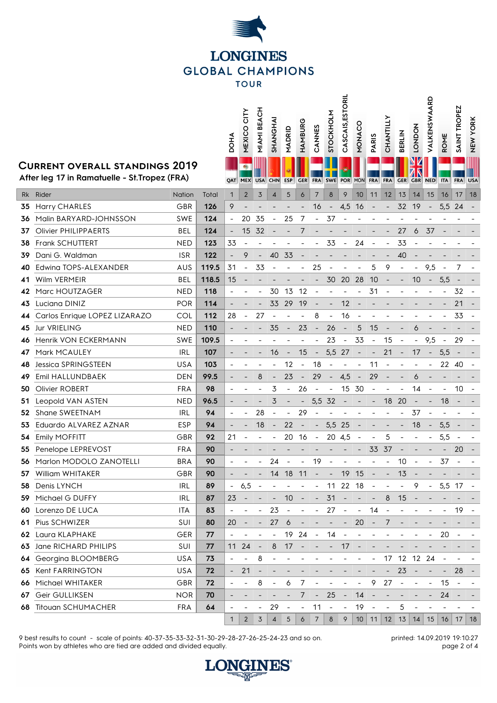

**CASCAIS,ESTORIL**

**CASCAIS, ESTORIL** 

VALKENSWAARD

## **Current overall standings 2019**

I

|                                                                                 |                               |            |       | DOHA                         | CITY<br>MEXICO           | MIAMI BEACH              | SHANGHAI                 | MADRID                   | HAMBURG                  | CANNES                   | STOCKHOLM                | CASCAIS, ESTOR           | <b>MONACO</b>                | <b>PARIS</b>             | CHANTILLY                | <b>BERLIN</b>            | <b>LONDON</b>            | VALKENSWAARI             | ROME                     | SAINT TROPEZ             | <b>NEW YORK</b> |
|---------------------------------------------------------------------------------|-------------------------------|------------|-------|------------------------------|--------------------------|--------------------------|--------------------------|--------------------------|--------------------------|--------------------------|--------------------------|--------------------------|------------------------------|--------------------------|--------------------------|--------------------------|--------------------------|--------------------------|--------------------------|--------------------------|-----------------|
| CURRENT OVERALL STANDINGS 2019<br>After leg 17 in Ramatuelle - St. Tropez (FRA) |                               |            |       |                              | <b>QAT MEX</b>           | <b>USA</b>               | <b>CHN</b>               | <b>ESP</b>               | <b>GER</b>               | <b>FRA</b>               | <b>SWE</b>               | <b>POR</b>               | <b>MON</b>                   | <b>FRA</b>               | <b>FRA</b>               | <b>GER</b>               | <b>GBR</b>               | <b>NED</b>               | <b>ITA</b>               | <b>FRA</b>               | <b>USA</b>      |
|                                                                                 | Rk Rider                      | Nation     | Total | $\mathbf{1}$                 | $\overline{2}$           | 3                        | $\overline{4}$           | 5                        | 6                        | $\overline{7}$           | 8                        | 9                        | 10                           | 11                       | 12                       | 13                       | 14                       | 15                       | 16                       | 17                       | 18              |
| 35                                                                              | Harry CHARLES                 | <b>GBR</b> | 126   | 9                            |                          |                          |                          |                          |                          | 16                       |                          | 4,5                      | 16                           |                          |                          | 32                       | 19                       |                          | 5,5                      | 24                       |                 |
| 36                                                                              | Malin BARYARD-JOHNSSON        | <b>SWE</b> | 124   |                              | 20                       | 35                       | $\overline{\phantom{a}}$ | 25                       | 7                        |                          | 37                       |                          |                              |                          |                          |                          |                          |                          |                          |                          |                 |
| 37                                                                              | <b>Olivier PHILIPPAERTS</b>   | <b>BEL</b> | 124   |                              | 15                       | 32                       |                          |                          | 7                        |                          |                          |                          |                              |                          |                          | 27                       | 6                        | 37                       |                          |                          |                 |
| 38                                                                              | Frank SCHUTTERT               | <b>NED</b> | 123   | 33                           |                          |                          |                          |                          |                          |                          | 33                       | $\overline{\phantom{a}}$ | 24                           |                          |                          | 33                       |                          |                          |                          |                          |                 |
| 39                                                                              | Dani G. Waldman               | <b>ISR</b> | 122   | $\overline{\phantom{a}}$     | 9                        | $\blacksquare$           | 40                       | 33                       |                          |                          |                          |                          |                              |                          |                          | 40                       |                          |                          |                          |                          |                 |
| 40                                                                              | Edwing TOPS-ALEXANDER         | AUS        | 119.5 | 31                           | $\overline{\phantom{a}}$ | 33                       |                          |                          |                          | 25                       |                          |                          |                              | 5                        | 9                        | $\overline{\phantom{a}}$ | $\overline{\phantom{a}}$ | 9,5                      |                          | 7                        |                 |
| 41                                                                              | Wilm VERMEIR                  | <b>BEL</b> | 118.5 | 15                           |                          |                          |                          |                          |                          |                          | 30                       | 20                       | 28                           | 10                       |                          |                          | 10                       | $\overline{\phantom{a}}$ | 5,5                      |                          |                 |
| 42                                                                              | Marc HOUTZAGER                | <b>NED</b> | 118   |                              |                          |                          | 30                       | 13                       | 12                       |                          |                          |                          |                              | 31                       |                          |                          |                          |                          |                          | 32                       |                 |
| 43                                                                              | Luciana DINIZ                 | <b>POR</b> | 114   |                              |                          |                          | 33                       | 29                       | 19                       |                          |                          | 12                       |                              |                          |                          |                          |                          |                          |                          | 21                       |                 |
| 44                                                                              | Carlos Enrique LOPEZ LIZARAZO | COL        | 112   | 28                           |                          | 27                       |                          |                          |                          | 8                        |                          | 16                       |                              |                          |                          |                          |                          |                          |                          | 33                       |                 |
| 45                                                                              | Jur VRIELING                  | <b>NED</b> | 110   |                              |                          |                          | 35                       | $\overline{\phantom{a}}$ | 23                       | $\overline{\phantom{a}}$ | 26                       | $\overline{\phantom{a}}$ | 5                            | 15                       |                          |                          | 6                        |                          |                          |                          |                 |
| 46                                                                              | Henrik VON ECKERMANN          | <b>SWE</b> | 109.5 | $\overline{\phantom{a}}$     |                          |                          |                          |                          |                          |                          | 23                       | $\overline{\phantom{a}}$ | 33                           | $\overline{\phantom{a}}$ | 15                       |                          | $\overline{\phantom{0}}$ | 9,5                      | $\overline{\phantom{a}}$ | 29                       |                 |
| 47                                                                              | Mark MCAULEY                  | <b>IRL</b> | 107   | $\overline{\phantom{a}}$     |                          |                          | 16                       | $\overline{\phantom{a}}$ | 15                       | $\overline{\phantom{a}}$ | 5,5 27                   |                          | $\overline{\phantom{a}}$     | $\overline{\phantom{a}}$ | 21                       | $\overline{\phantom{a}}$ | 17                       | $\sim$                   | 5,5                      | $\overline{\phantom{a}}$ |                 |
| 48                                                                              | <b>Jessica SPRINGSTEEN</b>    | <b>USA</b> | 103   |                              |                          |                          |                          | 12                       | $\overline{\phantom{a}}$ | 18                       |                          |                          |                              | 11                       |                          |                          |                          |                          | 22                       | -40                      |                 |
| 49                                                                              | Emil HALLUNDBAEK              | DEN        | 99.5  |                              |                          | 8                        |                          | 23                       |                          | 29                       |                          | 4,5                      |                              | 29                       |                          |                          | 6                        |                          |                          |                          |                 |
| 50                                                                              | Olivier ROBERT                | <b>FRA</b> | 98    |                              |                          |                          | 3                        |                          | 26                       |                          |                          | 15                       | 30                           | $\overline{\phantom{a}}$ |                          |                          | 14                       |                          |                          | 10                       |                 |
| 51                                                                              | Leopold VAN ASTEN             | <b>NED</b> | 96.5  |                              |                          |                          | 3                        |                          |                          | 5,5                      | 32                       |                          |                              |                          | 18                       | 20                       |                          |                          | 18                       |                          |                 |
| 52                                                                              | Shane SWEETNAM                | IRL        | 94    | $\overline{\phantom{a}}$     | $\overline{\phantom{0}}$ | 28                       | $\overline{\phantom{a}}$ |                          | 29                       |                          |                          |                          |                              |                          |                          |                          | 37                       |                          |                          |                          |                 |
| 53                                                                              | Eduardo ALVAREZ AZNAR         | <b>ESP</b> | 94    | $\overline{\phantom{a}}$     |                          | 18                       |                          | 22                       | $\overline{\phantom{a}}$ | $\overline{\phantom{a}}$ | 5,5 25                   |                          |                              |                          |                          |                          | 18                       | $\overline{\phantom{a}}$ | 5,5                      |                          |                 |
| 54                                                                              | Emily MOFFITT                 | GBR        | 92    | 21                           |                          |                          | $\overline{\phantom{a}}$ | 20                       | -16                      | $\blacksquare$           | 20 4,5                   |                          | $\qquad \qquad \blacksquare$ |                          | 5                        |                          |                          |                          | 5,5                      | $\overline{\phantom{a}}$ |                 |
| 55                                                                              | Penelope LEPREVOST            | <b>FRA</b> | 90    |                              |                          |                          |                          |                          |                          |                          |                          |                          |                              | 33                       | 37                       |                          |                          |                          |                          | 20                       |                 |
| 56                                                                              | Marlon MODOLO ZANOTELLI       | <b>BRA</b> | 90    |                              |                          |                          | 24                       |                          |                          | 19                       |                          |                          |                              |                          |                          | 10                       |                          |                          | 37                       |                          |                 |
|                                                                                 | 57 William WHITAKER           | GBR        | 90    |                              |                          |                          | 14                       | 18 11                    |                          | $\sim$                   | $\sim$                   | 19 15                    |                              |                          |                          | 13                       |                          |                          |                          |                          |                 |
| 58                                                                              | Denis LYNCH                   | <b>IRL</b> | 89    |                              | 6,5                      |                          |                          |                          |                          | $\overline{\phantom{a}}$ |                          | 11 22 18                 |                              | $\blacksquare$           | $\overline{\phantom{a}}$ | $\overline{a}$           | 9                        | $\sim$                   | 5,5 17                   |                          |                 |
| 59.                                                                             | Michael G DUFFY               | IRL        | 87    | 23                           |                          |                          | $\overline{\phantom{a}}$ | 10                       | $\overline{\phantom{a}}$ | $\overline{\phantom{a}}$ | 31                       | $\overline{\phantom{a}}$ |                              | $\overline{\phantom{a}}$ | 8                        | 15                       |                          |                          |                          |                          |                 |
| 60.                                                                             | Lorenzo DE LUCA               | <b>ITA</b> | 83    | $\qquad \qquad \blacksquare$ |                          | $\frac{1}{2}$            | 23                       | $\overline{\phantom{a}}$ |                          | $\overline{\phantom{a}}$ | 27                       | $\blacksquare$           | $\blacksquare$               | 14                       |                          |                          |                          |                          |                          | 19                       |                 |
|                                                                                 | 61 Pius SCHWIZER              | SUI        | 80    | 20                           |                          | $\overline{\phantom{a}}$ | 27                       | 6                        |                          |                          |                          |                          | 20                           |                          | $\prime$                 |                          |                          |                          |                          |                          |                 |
| 62                                                                              | Laura KLAPHAKE                | GER        | 77    |                              |                          |                          |                          | 19                       | 24                       | $\overline{\phantom{a}}$ | 14                       |                          |                              |                          |                          |                          |                          |                          | 20                       |                          |                 |
| 63                                                                              | Jane RICHARD PHILIPS          | SUI        | 77    | 11                           | 24                       | $\overline{\phantom{a}}$ | 8                        | 17                       | $\overline{\phantom{a}}$ |                          |                          | 17                       |                              |                          |                          |                          |                          |                          |                          |                          |                 |
| 64                                                                              | Georgina BLOOMBERG            | <b>USA</b> | 73    | $\overline{\phantom{a}}$     |                          | 8                        |                          |                          |                          |                          |                          |                          |                              |                          | 17                       | 12                       | 12 24                    |                          | $\overline{\phantom{a}}$ |                          |                 |
| 65                                                                              | Kent FARRINGTON               | USA        | 72    |                              | 21                       |                          |                          |                          |                          |                          |                          |                          |                              |                          |                          | 23                       |                          |                          | $\overline{\phantom{a}}$ | 28                       |                 |
| 66                                                                              | Michael WHITAKER              | GBR        | 72    | $\overline{\phantom{a}}$     |                          | 8                        |                          | 6                        | 7                        |                          |                          |                          |                              | 9                        | 27                       |                          |                          | -                        | 15                       |                          |                 |
| 67                                                                              | Geir GULLIKSEN                | <b>NOR</b> | 70    |                              |                          |                          |                          |                          | 7                        |                          | 25                       | $\overline{\phantom{a}}$ | 14                           |                          |                          |                          |                          |                          | 24                       |                          |                 |
| 68                                                                              | <b>Titouan SCHUMACHER</b>     | FRA        | 64    | $\overline{\phantom{a}}$     |                          |                          | 29                       |                          | $\overline{\phantom{a}}$ | 11                       | $\overline{\phantom{a}}$ | $\qquad \qquad -$        | 19                           |                          |                          | 5                        |                          |                          |                          |                          |                 |
|                                                                                 |                               |            |       | $\mathbf{1}$                 | $\overline{2}$           | $\overline{3}$           | $\overline{4}$           | 5                        | 6                        | $\overline{7}$           | 8                        | 9                        |                              | $10$ 11                  |                          | $12 \mid 13 \mid$        | 14                       | 15                       | 16                       | 17                       | 18              |

9 best results to count - scale of points: 40-37-35-33-32-31-30-29-28-27-26-25-24-23 and so on. Points won by athletes who are tied are added and divided equally.

printed: 14.09.2019 19:10:27 page 2 of 4

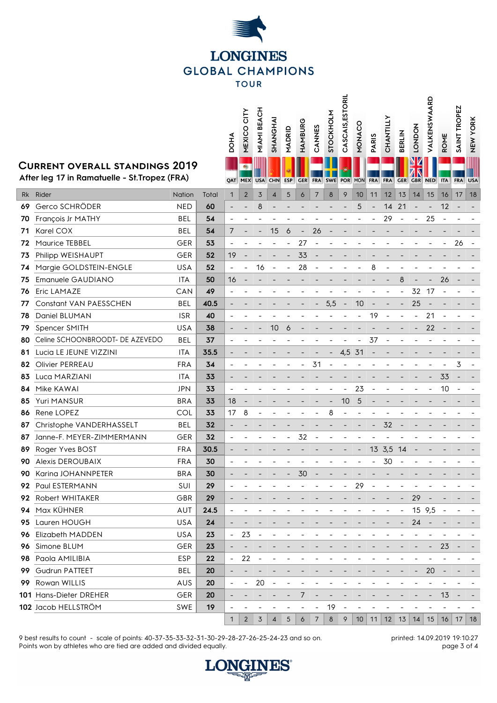

**MEXICO CITY MIAMI BEACH** **STOCKHOLM<br>CASCAIS,ESTORIL CASCAIS,ESTORIL**

**VALKENSWAARD**

VALKENSWAARD

**SAINT TROPEZ** SAINT TROPEZ<br>NEW YORK

## **Current overall standings 2019**

|     |                                                                                 |            |       | DOHA                         | MEXICO CI      | <b>MIAMI BEA</b> | SHANGHAI       | MADRID     | HAMBURG                  | CANNES         | STOCKHOL   | CASCAIS,E                | NONACO     | PARIS      | CHANTILLY  | <b>BERLIN</b> | <b>LONDON</b>  | VALKENSW | ROME                 | <b>TROI</b><br>SAINT | <b>NEW YORK</b> |
|-----|---------------------------------------------------------------------------------|------------|-------|------------------------------|----------------|------------------|----------------|------------|--------------------------|----------------|------------|--------------------------|------------|------------|------------|---------------|----------------|----------|----------------------|----------------------|-----------------|
|     | CURRENT OVERALL STANDINGS 2019<br>After leg 17 in Ramatuelle - St. Tropez (FRA) |            |       |                              | <b>QAT MEX</b> | <b>USA</b>       | <b>CHN</b>     | <b>ESP</b> | <b>GER</b>               | <b>FRA</b>     | <b>SWE</b> | <b>POR</b>               | <b>MON</b> | <b>FRA</b> | <b>FRA</b> | <b>GER</b>    | <b>GBR NED</b> |          | <b>ITA</b>           | <b>FRA</b>           | <b>USA</b>      |
| Rk  | Rider                                                                           | Nation     | Total | $\mathbf{1}$                 | $\overline{2}$ | 3                | $\overline{4}$ | 5          | 6                        | $\overline{7}$ | $\delta$   | 9                        | 10         | 11         | 12         | 13            | 14             | 15       | 16                   | 17                   | 18              |
| 69  | Gerco SCHRÖDER                                                                  | <b>NED</b> | 60    |                              |                | 8                |                |            |                          |                |            |                          | 5          |            | 14         | 21            |                |          | 12                   |                      |                 |
| 70  | François Jr MATHY                                                               | <b>BEL</b> | 54    | $\overline{\phantom{a}}$     |                |                  |                |            |                          |                |            |                          |            |            | 29         |               |                | 25       |                      |                      |                 |
| 71  | Karel COX                                                                       | <b>BEL</b> | 54    | 7                            |                |                  | 15             | 6          | $\overline{\phantom{a}}$ | 26             |            |                          |            |            |            |               |                |          |                      |                      |                 |
| 72  | Maurice TEBBEL                                                                  | <b>GER</b> | 53    | $\overline{\phantom{m}}$     |                |                  |                |            | 27                       |                |            |                          |            |            |            |               |                |          |                      | 26                   |                 |
| 73  | Philipp WEISHAUPT                                                               | GER        | 52    | 19                           |                |                  |                |            | 33                       |                |            |                          |            |            |            |               |                |          |                      |                      |                 |
| 74  | Margie GOLDSTEIN-ENGLE                                                          | <b>USA</b> | 52    | $\overline{\phantom{a}}$     |                | 16               |                |            | 28                       |                |            |                          |            | 8          |            |               |                |          |                      |                      |                 |
| 75  | Emanuele GAUDIANO                                                               | <b>ITA</b> | 50    | 16                           |                |                  |                |            |                          |                |            |                          |            |            |            | 8             |                |          | 26                   |                      |                 |
| 76  | Eric LAMAZE                                                                     | CAN        | 49    |                              |                |                  |                |            |                          |                |            |                          |            |            |            |               | 32             | 17       |                      |                      |                 |
| 77  | Constant VAN PAESSCHEN                                                          | BEL        | 40.5  | $\overline{\phantom{a}}$     |                |                  |                |            |                          |                | 5,5        | $\overline{\phantom{a}}$ | 10         |            |            |               | 25             |          |                      |                      |                 |
| 78  | Daniel BLUMAN                                                                   | <b>ISR</b> | 40    |                              |                |                  |                |            |                          |                |            |                          |            | 19         |            |               |                | 21       |                      |                      |                 |
| 79  | Spencer SMITH                                                                   | <b>USA</b> | 38    |                              |                |                  | 10             | 6          |                          |                |            |                          |            |            |            |               |                | 22       |                      |                      |                 |
| 80  | Celine SCHOONBROODT- DE AZEVEDO                                                 | <b>BEL</b> | 37    | $\overline{\phantom{a}}$     |                |                  |                |            |                          |                |            |                          |            | 37         |            |               |                |          |                      |                      |                 |
| 81  | Lucia LE JEUNE VIZZINI                                                          | <b>ITA</b> | 35.5  |                              |                |                  |                |            |                          |                |            | 4,5                      | 31         |            |            |               |                |          |                      |                      |                 |
| 82  | Olivier PERREAU                                                                 | <b>FRA</b> | 34    | $\overline{\phantom{a}}$     |                |                  |                |            |                          | 31             |            |                          |            |            |            |               |                |          |                      | 3                    |                 |
| 83  | Luca MARZIANI                                                                   | <b>ITA</b> | 33    |                              |                |                  |                |            |                          |                |            |                          |            |            |            |               |                |          | 33                   |                      |                 |
| 84  | Mike KAWAI                                                                      | <b>JPN</b> | 33    | $\overline{\phantom{m}}$     |                |                  |                |            |                          |                |            |                          | 23         |            |            |               |                |          | 10                   |                      |                 |
| 85  | Yuri MANSUR                                                                     | <b>BRA</b> | 33    | 18                           |                |                  |                |            |                          |                |            | 10                       | 5          |            |            |               |                |          |                      |                      |                 |
| 86  | Rene LOPEZ                                                                      | COL        | 33    | 17                           | 8              |                  |                |            |                          |                | 8          |                          |            |            |            |               |                |          |                      |                      |                 |
| 87  | Christophe VANDERHASSELT                                                        | BEL        | 32    | $\overline{\phantom{0}}$     |                |                  |                |            |                          |                |            |                          |            |            | 32         |               |                |          |                      |                      |                 |
| 87  | Janne-F. MEYER-ZIMMERMANN                                                       | GER        | 32    |                              |                |                  |                |            | 32                       |                |            |                          |            |            |            |               |                |          |                      |                      |                 |
| 89  | Roger Yves BOST                                                                 | FRA        | 30.5  | $\qquad \qquad \blacksquare$ |                |                  |                |            |                          |                |            |                          |            |            | 13 3,5     | 14            |                |          |                      |                      |                 |
| 90  | <b>Alexis DEROUBAIX</b>                                                         | <b>FRA</b> | 30    | $\qquad \qquad \blacksquare$ |                |                  |                |            |                          |                |            |                          |            |            | 30         |               |                |          |                      |                      |                 |
| 90  | Karina JOHANNPETER                                                              | <b>BRA</b> | 30    |                              |                |                  |                |            | 30                       |                |            |                          |            |            |            |               |                |          |                      |                      |                 |
| 92  | Paul ESTERMANN                                                                  | SUI        | 29    |                              |                |                  |                |            |                          |                |            |                          | 29         |            |            |               |                |          |                      |                      |                 |
|     | 92 Robert WHITAKER                                                              | GBR        | 29    |                              |                |                  |                |            |                          |                |            |                          |            |            |            |               | 29             |          |                      |                      |                 |
| 94  | Max KÜHNER                                                                      | AUT        | 24.5  |                              |                |                  |                |            |                          |                |            |                          |            |            |            |               | 15 9,5         |          |                      |                      |                 |
| 95  | Lauren HOUGH                                                                    | <b>USA</b> | 24    |                              |                |                  |                |            |                          |                |            |                          |            |            |            |               | 24             |          |                      |                      |                 |
| 96  | <b>Elizabeth MADDEN</b>                                                         | <b>USA</b> | 23    | $\overline{\phantom{a}}$     | 23             |                  |                |            |                          |                |            |                          |            |            |            |               |                |          |                      |                      |                 |
| 96  | Simone BLUM                                                                     | GER        | 23    |                              |                |                  |                |            |                          |                |            |                          |            |            |            |               |                |          | 23                   |                      |                 |
| 98  | Paola AMILIBIA                                                                  | <b>ESP</b> | 22    | $\overline{\phantom{a}}$     | 22             |                  |                |            |                          |                |            |                          |            |            |            |               |                |          |                      |                      |                 |
| 99. | Gudrun PATTEET                                                                  | <b>BEL</b> | 20    |                              |                |                  |                |            |                          |                |            |                          |            |            |            |               |                | 20       |                      |                      |                 |
|     | 99 Rowan WILLIS                                                                 | AUS        | 20    | -                            |                | 20               |                |            |                          |                |            |                          |            |            |            |               |                |          |                      |                      |                 |
|     | 101 Hans-Dieter DREHER                                                          | GER        | 20    | $\overline{a}$               |                |                  |                |            | 7                        |                |            |                          |            |            |            |               |                |          | 13                   |                      |                 |
|     | 102 Jacob HELLSTRÖM                                                             | SWE        | 19    |                              |                |                  |                |            |                          |                | 19         |                          |            |            |            |               |                |          |                      |                      |                 |
|     |                                                                                 |            |       | $\mathbf{1}$                 | $\overline{2}$ | 3                | 4              | 5          | 6                        | 7              | 8          | 9                        | 10         | 11         |            |               |                |          | 12 13 14 15 16 17 18 |                      |                 |

9 best results to count - scale of points: 40-37-35-33-32-31-30-29-28-27-26-25-24-23 and so on. Points won by athletes who are tied are added and divided equally.

printed: 14.09.2019 19:10:27 page 3 of 4